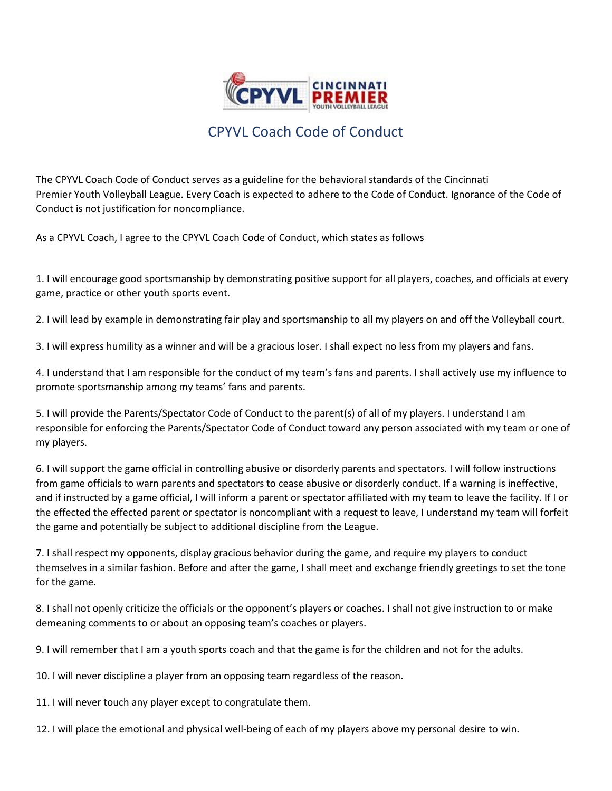

## CPYVL Coach Code of Conduct

The CPYVL Coach Code of Conduct serves as a guideline for the behavioral standards of the Cincinnati Premier Youth Volleyball League. Every Coach is expected to adhere to the Code of Conduct. Ignorance of the Code of Conduct is not justification for noncompliance.

As a CPYVL Coach, I agree to the CPYVL Coach Code of Conduct, which states as follows

1. I will encourage good sportsmanship by demonstrating positive support for all players, coaches, and officials at every game, practice or other youth sports event.

2. I will lead by example in demonstrating fair play and sportsmanship to all my players on and off the Volleyball court.

3. I will express humility as a winner and will be a gracious loser. I shall expect no less from my players and fans.

4. I understand that I am responsible for the conduct of my team's fans and parents. I shall actively use my influence to promote sportsmanship among my teams' fans and parents.

5. I will provide the Parents/Spectator Code of Conduct to the parent(s) of all of my players. I understand I am responsible for enforcing the Parents/Spectator Code of Conduct toward any person associated with my team or one of my players.

6. I will support the game official in controlling abusive or disorderly parents and spectators. I will follow instructions from game officials to warn parents and spectators to cease abusive or disorderly conduct. If a warning is ineffective, and if instructed by a game official, I will inform a parent or spectator affiliated with my team to leave the facility. If I or the effected the effected parent or spectator is noncompliant with a request to leave, I understand my team will forfeit the game and potentially be subject to additional discipline from the League.

7. I shall respect my opponents, display gracious behavior during the game, and require my players to conduct themselves in a similar fashion. Before and after the game, I shall meet and exchange friendly greetings to set the tone for the game.

8. I shall not openly criticize the officials or the opponent's players or coaches. I shall not give instruction to or make demeaning comments to or about an opposing team's coaches or players.

9. I will remember that I am a youth sports coach and that the game is for the children and not for the adults.

10. I will never discipline a player from an opposing team regardless of the reason.

11. I will never touch any player except to congratulate them.

12. I will place the emotional and physical well-being of each of my players above my personal desire to win.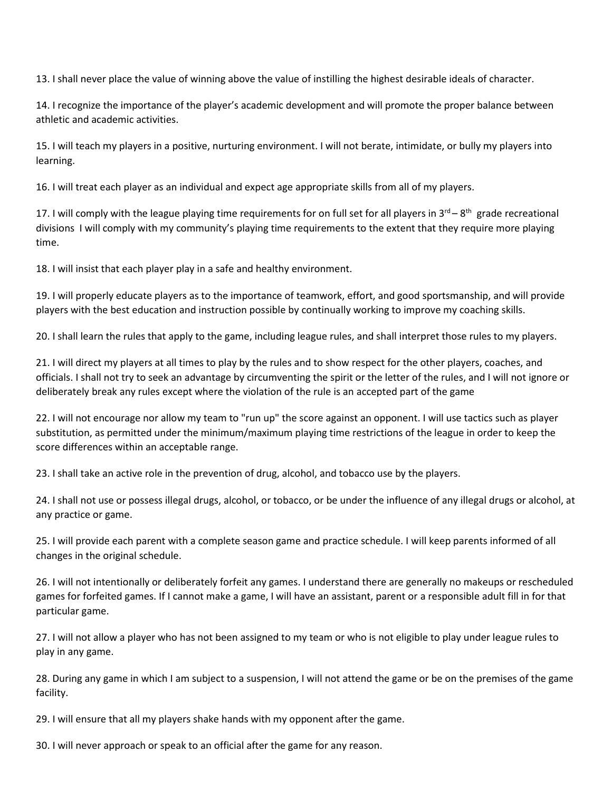13. I shall never place the value of winning above the value of instilling the highest desirable ideals of character.

14. I recognize the importance of the player's academic development and will promote the proper balance between athletic and academic activities.

15. I will teach my players in a positive, nurturing environment. I will not berate, intimidate, or bully my players into learning.

16. I will treat each player as an individual and expect age appropriate skills from all of my players.

17. I will comply with the league playing time requirements for on full set for all players in  $3^{rd}-8^{th}$  grade recreational divisions I will comply with my community's playing time requirements to the extent that they require more playing time.

18. I will insist that each player play in a safe and healthy environment.

19. I will properly educate players as to the importance of teamwork, effort, and good sportsmanship, and will provide players with the best education and instruction possible by continually working to improve my coaching skills.

20. I shall learn the rules that apply to the game, including league rules, and shall interpret those rules to my players.

21. I will direct my players at all times to play by the rules and to show respect for the other players, coaches, and officials. I shall not try to seek an advantage by circumventing the spirit or the letter of the rules, and I will not ignore or deliberately break any rules except where the violation of the rule is an accepted part of the game

22. I will not encourage nor allow my team to "run up" the score against an opponent. I will use tactics such as player substitution, as permitted under the minimum/maximum playing time restrictions of the league in order to keep the score differences within an acceptable range.

23. I shall take an active role in the prevention of drug, alcohol, and tobacco use by the players.

24. I shall not use or possess illegal drugs, alcohol, or tobacco, or be under the influence of any illegal drugs or alcohol, at any practice or game.

25. I will provide each parent with a complete season game and practice schedule. I will keep parents informed of all changes in the original schedule.

26. I will not intentionally or deliberately forfeit any games. I understand there are generally no makeups or rescheduled games for forfeited games. If I cannot make a game, I will have an assistant, parent or a responsible adult fill in for that particular game.

27. I will not allow a player who has not been assigned to my team or who is not eligible to play under league rules to play in any game.

28. During any game in which I am subject to a suspension, I will not attend the game or be on the premises of the game facility.

29. I will ensure that all my players shake hands with my opponent after the game.

30. I will never approach or speak to an official after the game for any reason.